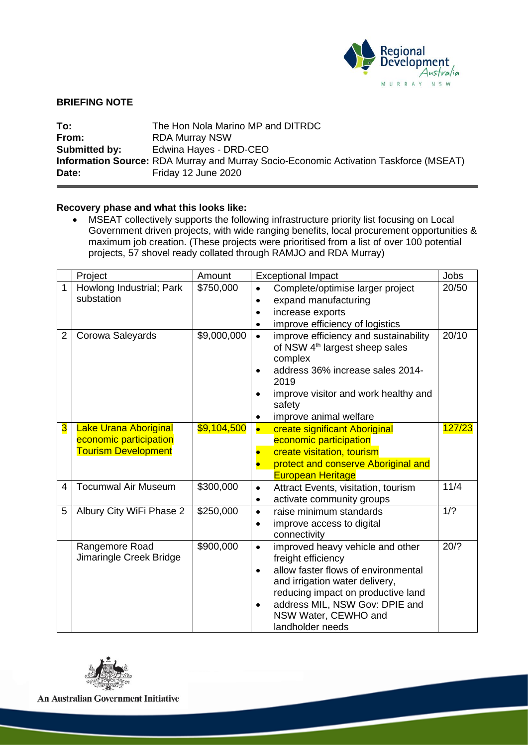

# **BRIEFING NOTE**

| To:           | The Hon Nola Marino MP and DITRDC                                                            |
|---------------|----------------------------------------------------------------------------------------------|
| From:         | <b>RDA Murray NSW</b>                                                                        |
| Submitted by: | Edwina Hayes - DRD-CEO                                                                       |
|               | <b>Information Source:</b> RDA Murray and Murray Socio-Economic Activation Taskforce (MSEAT) |
| Date:         | Friday 12 June 2020                                                                          |

# **Recovery phase and what this looks like:**

• MSEAT collectively supports the following infrastructure priority list focusing on Local Government driven projects, with wide ranging benefits, local procurement opportunities & maximum job creation. (These projects were prioritised from a list of over 100 potential projects, 57 shovel ready collated through RAMJO and RDA Murray)

|                         | Project<br>Amount                         |             | <b>Exceptional Impact</b> | <b>Jobs</b>                                            |        |
|-------------------------|-------------------------------------------|-------------|---------------------------|--------------------------------------------------------|--------|
| $\mathbf{1}$            | Howlong Industrial; Park                  | \$750,000   |                           | Complete/optimise larger project                       | 20/50  |
|                         | substation                                |             | $\bullet$                 | expand manufacturing                                   |        |
|                         |                                           |             |                           | increase exports                                       |        |
|                         |                                           |             |                           | improve efficiency of logistics                        |        |
| $\overline{2}$          | Corowa Saleyards                          | \$9,000,000 |                           | improve efficiency and sustainability                  | 20/10  |
|                         |                                           |             |                           | of NSW 4 <sup>th</sup> largest sheep sales             |        |
|                         |                                           |             |                           | complex<br>address 36% increase sales 2014-            |        |
|                         |                                           |             |                           | 2019                                                   |        |
|                         |                                           |             |                           | improve visitor and work healthy and                   |        |
|                         |                                           |             |                           | safety                                                 |        |
|                         |                                           |             |                           | improve animal welfare                                 |        |
| $\overline{\mathbf{3}}$ | <b>Lake Urana Aboriginal</b>              | \$9,104,500 |                           | create significant Aboriginal                          | 127/23 |
|                         | economic participation                    |             |                           | economic participation                                 |        |
|                         | <b>Tourism Development</b>                |             |                           | create visitation, tourism                             |        |
|                         |                                           |             |                           | protect and conserve Aboriginal and                    |        |
|                         |                                           |             |                           | <b>European Heritage</b>                               |        |
| 4                       | <b>Tocumwal Air Museum</b>                | \$300,000   | $\bullet$                 | Attract Events, visitation, tourism                    | 11/4   |
|                         |                                           |             | ٠                         | activate community groups                              |        |
| 5                       | Albury City WiFi Phase 2                  | \$250,000   | $\bullet$                 | raise minimum standards                                | 1/2    |
|                         |                                           |             | $\bullet$                 | improve access to digital                              |        |
|                         |                                           | \$900,000   |                           | connectivity                                           | 20/?   |
|                         | Rangemore Road<br>Jimaringle Creek Bridge |             | $\bullet$                 | improved heavy vehicle and other<br>freight efficiency |        |
|                         |                                           |             |                           | allow faster flows of environmental                    |        |
|                         |                                           |             |                           | and irrigation water delivery,                         |        |
|                         |                                           |             |                           | reducing impact on productive land                     |        |
|                         |                                           |             |                           | address MIL, NSW Gov: DPIE and                         |        |
|                         |                                           |             |                           | NSW Water, CEWHO and                                   |        |
|                         |                                           |             |                           | landholder needs                                       |        |



An Australian Government Initiative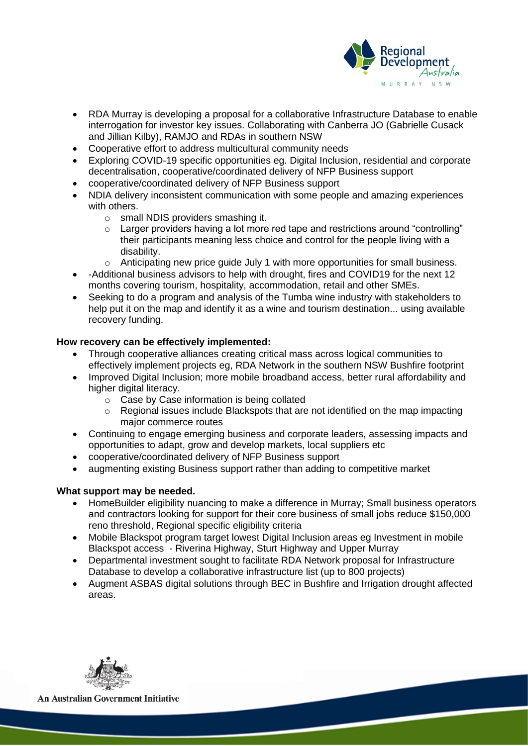

- RDA Murray is developing a proposal for a collaborative Infrastructure Database to enable interrogation for investor key issues. Collaborating with Canberra JO (Gabrielle Cusack and Jillian Kilby), RAMJO and RDAs in southern NSW
- Cooperative effort to address multicultural community needs
- Exploring COVID-19 specific opportunities eg. Digital Inclusion, residential and corporate decentralisation, cooperative/coordinated delivery of NFP Business support
- cooperative/coordinated delivery of NFP Business support
- NDIA delivery inconsistent communication with some people and amazing experiences with others.
	- o small NDIS providers smashing it.
	- $\circ$  Larger providers having a lot more red tape and restrictions around "controlling" their participants meaning less choice and control for the people living with a disability.
	- o Anticipating new price guide July 1 with more opportunities for small business.
- -Additional business advisors to help with drought, fires and COVID19 for the next 12 months covering tourism, hospitality, accommodation, retail and other SMEs.
- Seeking to do a program and analysis of the Tumba wine industry with stakeholders to help put it on the map and identify it as a wine and tourism destination... using available recovery funding.

## **How recovery can be effectively implemented:**

- Through cooperative alliances creating critical mass across logical communities to effectively implement projects eg, RDA Network in the southern NSW Bushfire footprint
- Improved Digital Inclusion; more mobile broadband access, better rural affordability and higher digital literacy.
	- o Case by Case information is being collated
	- o Regional issues include Blackspots that are not identified on the map impacting major commerce routes
- Continuing to engage emerging business and corporate leaders, assessing impacts and opportunities to adapt, grow and develop markets, local suppliers etc
- cooperative/coordinated delivery of NFP Business support
- augmenting existing Business support rather than adding to competitive market

### **What support may be needed.**

- HomeBuilder eligibility nuancing to make a difference in Murray; Small business operators and contractors looking for support for their core business of small jobs reduce \$150,000 reno threshold, Regional specific eligibility criteria
- Mobile Blackspot program target lowest Digital Inclusion areas eg Investment in mobile Blackspot access - Riverina Highway, Sturt Highway and Upper Murray
- Departmental investment sought to facilitate RDA Network proposal for Infrastructure Database to develop a collaborative infrastructure list (up to 800 projects)
- Augment ASBAS digital solutions through BEC in Bushfire and Irrigation drought affected areas.



**An Australian Government Initiative**